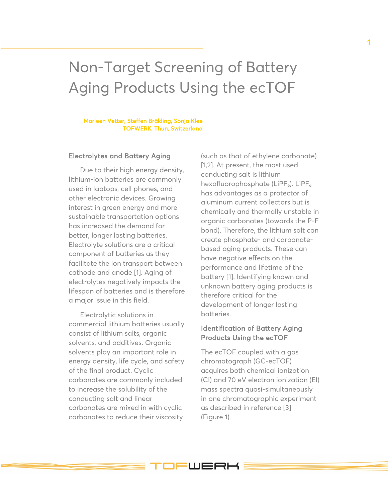# Non-Target Screening of Battery Aging Products Using the ecTOF

#### Marleen Vetter, Steffen Bräkling, Sonja Klee TOFWERK, Thun, Switzerland

### Electrolytes and Battery Aging

Due to their high energy density, lithium-ion batteries are commonly used in laptops, cell phones, and other electronic devices. Growing interest in green energy and more sustainable transportation options has increased the demand for better, longer lasting batteries. Electrolyte solutions are a critical component of batteries as they facilitate the ion transport between cathode and anode [1]. Aging of electrolytes negatively impacts the lifespan of batteries and is therefore a major issue in this field.

Electrolytic solutions in commercial lithium batteries usually consist of lithium salts, organic solvents, and additives. Organic solvents play an important role in energy density, life cycle, and safety of the final product. Cyclic carbonates are commonly included to increase the solubility of the conducting salt and linear carbonates are mixed in with cyclic carbonates to reduce their viscosity

(such as that of ethylene carbonate) [1,2]. At present, the most used conducting salt is lithium hexafluorophosphate (LiPF $_6$ ). LiPF $_6$ has advantages as a protector of aluminum current collectors but is chemically and thermally unstable in organic carbonates (towards the P-F bond). Therefore, the lithium salt can create phosphate- and carbonatebased aging products. These can have negative effects on the performance and lifetime of the battery [1]. Identifying known and unknown battery aging products is therefore critical for the development of longer lasting batteries.

## Identification of Battery Aging Products Using the ecTOF

The ecTOF coupled with a gas chromatograph (GC-ecTOF) acquires both chemical ionization (CI) and 70 eV electron ionization (EI) mass spectra quasi-simultaneously in one chromatographic experiment as described in reference [3] (Figure 1).

**IFWERH**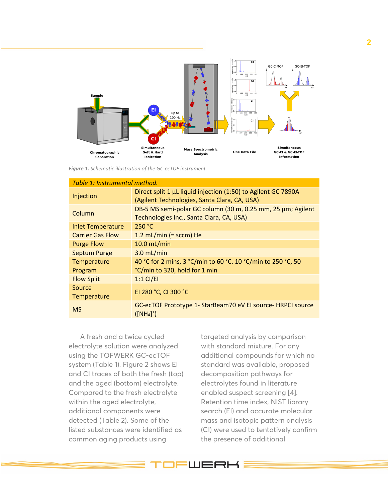

*Figure 1. Schematic illustration of the GC-ecTOF instrument.*

| Table 1: Instrumental method. |                                                                                                               |  |  |  |  |
|-------------------------------|---------------------------------------------------------------------------------------------------------------|--|--|--|--|
| Injection                     | Direct split 1 µL liquid injection (1:50) to Agilent GC 7890A<br>(Agilent Technologies, Santa Clara, CA, USA) |  |  |  |  |
| Column                        | DB-5 MS semi-polar GC column (30 m, 0.25 mm, 25 µm; Agilent<br>Technologies Inc., Santa Clara, CA, USA)       |  |  |  |  |
| <b>Inlet Temperature</b>      | 250 °C                                                                                                        |  |  |  |  |
| <b>Carrier Gas Flow</b>       | 1.2 mL/min (= sccm) He                                                                                        |  |  |  |  |
| <b>Purge Flow</b>             | $10.0$ mL/min                                                                                                 |  |  |  |  |
| <b>Septum Purge</b>           | $3.0$ mL/min                                                                                                  |  |  |  |  |
| Temperature                   | 40 °C for 2 mins, 3 °C/min to 60 °C. 10 °C/min to 250 °C, 50                                                  |  |  |  |  |
| Program                       | °C/min to 320, hold for 1 min                                                                                 |  |  |  |  |
| <b>Flow Split</b>             | $1:1$ CI/EI                                                                                                   |  |  |  |  |
| Source<br>Temperature         | EI 280 °C, CI 300 °C                                                                                          |  |  |  |  |
| <b>MS</b>                     | GC-ecTOF Prototype 1- StarBeam70 eV EI source- HRPCI source<br>$([NH_4]^+)$                                   |  |  |  |  |

A fresh and a twice cycled electrolyte solution were analyzed using the TOFWERK GC-ecTOF system (Table 1). Figure 2 shows EI and CI traces of both the fresh (top) and the aged (bottom) electrolyte. Compared to the fresh electrolyte within the aged electrolyte, additional components were detected (Table 2). Some of the listed substances were identified as common aging products using

targeted analysis by comparison with standard mixture. For any additional compounds for which no standard was available, proposed decomposition pathways for electrolytes found in literature enabled suspect screening [4]. Retention time index, NIST library search (EI) and accurate molecular mass and isotopic pattern analysis (CI) were used to tentatively confirm the presence of additional

**LUERH**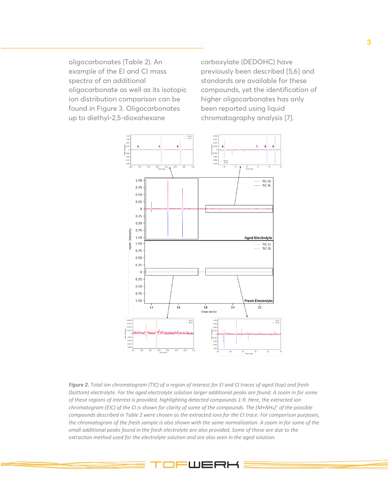oligocarbonates (Table 2). An example of the EI and CI mass spectra of an additional oligocarbonate as well as its isotopic ion distribution comparison can be found in Figure 3. Oligocarbonates up to diethyl-2,5-dioxahexane

carboxylate (DEDOHC) have previously been described [5,6] and standards are available for these compounds, yet the identification of higher oligocarbonates has only been reported using liquid chromatography analysis [7].



*Figure 2. Total ion chromatogram (TIC) of a region of interest for EI and CI traces of aged (top) and fresh (bottom) electrolyte. For the aged electrolyte solution larger additional peaks are found. A zoom in for some of these regions of interest is provided, highlighting detected compounds 1-9. Here, the extracted ion chromatogram (EIC) of the CI is shown for clarity of some of the compounds. The [M+NH4]+ of the possible compounds described in Table 2 were chosen as the extracted ions for the CI trace. For comparison purposes, the chromatogram of the fresh sample is also shown with the same normalization. A zoom in for some of the small additional peaks found in the fresh electrolyte are also provided. Some of these are due to the extraction method used for the electrolyte solution and are also seen in the aged solution.*

=WERH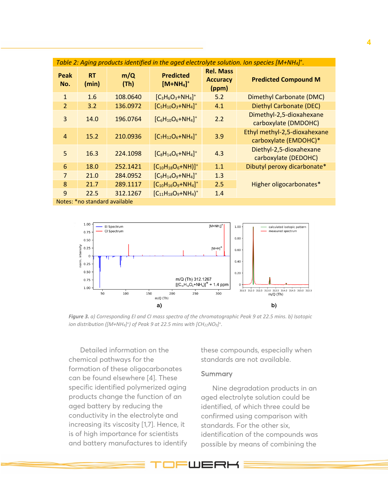| Table 2: Aging products identified in the aged electrolyte solution. Ion species $[M+NH_4]^{\dagger}$ . |                    |             |                                            |                                              |                                                       |  |
|---------------------------------------------------------------------------------------------------------|--------------------|-------------|--------------------------------------------|----------------------------------------------|-------------------------------------------------------|--|
| <b>Peak</b><br>No.                                                                                      | <b>RT</b><br>(min) | m/Q<br>(Th) | <b>Predicted</b><br>$[M+NH4]$ <sup>+</sup> | <b>Rel. Mass</b><br><b>Accuracy</b><br>(ppm) | <b>Predicted Compound M</b>                           |  |
| $\mathbf{1}$                                                                                            | 1.6                | 108.0640    | $[C_3H_6O_3 + NH_4]^+$                     | 5.2                                          | Dimethyl Carbonate (DMC)                              |  |
| $\overline{2}$                                                                                          | 3.2                | 136.0972    | $[C_5H_{10}O_3 + NH_4]^+$                  | 4.1                                          | Diethyl Carbonate (DEC)                               |  |
| 3                                                                                                       | 14.0               | 196.0764    | $[C_6H_{10}O_6 + NH_4]^+$                  | 2.2                                          | Dimethyl-2,5-dioxahexane<br>carboxylate (DMDOHC)      |  |
| $\overline{4}$                                                                                          | 15.2               | 210.0936    | $[C_7H_{12}O_6 + NH_4]^+$                  | 3.9                                          | Ethyl methyl-2,5-dioxahexane<br>carboxylate (EMDOHC)* |  |
| 5                                                                                                       | 16.3               | 224.1098    | $[C_8H_{14}O_6 + NH_4]^+$                  | 4.3                                          | Diethyl-2,5-dioxahexane<br>carboxylate (DEDOHC)       |  |
| 6                                                                                                       | 18.0               | 252.1421    | $[C_{10}H_{18}O_6 + NH)]^+$                | 1.1                                          | Dibutyl peroxy dicarbonate*                           |  |
| $\overline{7}$                                                                                          | 21.0               | 284.0952    | $[C_9H_{14}O_9 + NH_4]^+$                  | 1.3                                          |                                                       |  |
| 8                                                                                                       | 21.7               | 289.1117    | $[C_{10}H_{16}O_9 + NH_4]^+$               | 2.5                                          | Higher oligocarbonates*                               |  |
| 9                                                                                                       | 22.5               | 312.1267    | $[C_{11}H_{18}O_9 + NH_4]^+$               | 1.4                                          |                                                       |  |
| Notes: *no standard available                                                                           |                    |             |                                            |                                              |                                                       |  |



*Figure 3. a) Corresponding EI and CI mass spectra of the chromatographic Peak 9 at 22.5 mins. b) Isotopic ion distribution ([M+NH<sub>4</sub>]<sup>+</sup>) of Peak 9 at 22.5 mins with [CH<sub>22</sub>NO<sub>9</sub>]<sup>+</sup>.* 

Detailed information on the chemical pathways for the formation of these oligocarbonates can be found elsewhere [4]. These specific identified polymerized aging products change the function of an aged battery by reducing the conductivity in the electrolyte and increasing its viscosity [1,7]. Hence, it is of high importance for scientists and battery manufactures to identify these compounds, especially when standards are not available.

## Summary

WERK

Nine degradation products in an aged electrolyte solution could be identified, of which three could be confirmed using comparison with standards. For the other six, identification of the compounds was possible by means of combining the